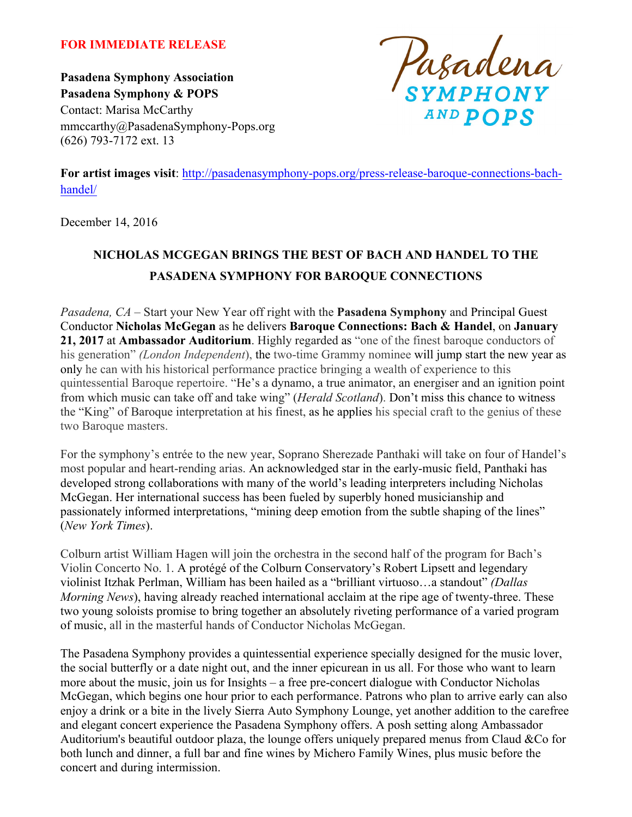#### **FOR IMMEDIATE RELEASE**

**Pasadena Symphony Association Pasadena Symphony & POPS** Contact: Marisa McCarthy mmccarthy@PasadenaSymphony-Pops.org (626) 793-7172 ext. 13



**For artist images visit**: http://pasadenasymphony-pops.org/press-release-baroque-connections-bachhandel/

December 14, 2016

# **NICHOLAS MCGEGAN BRINGS THE BEST OF BACH AND HANDEL TO THE PASADENA SYMPHONY FOR BAROQUE CONNECTIONS**

*Pasadena, CA* – Start your New Year off right with the **Pasadena Symphony** and Principal Guest Conductor **Nicholas McGegan** as he delivers **Baroque Connections: Bach & Handel**, on **January 21, 2017** at **Ambassador Auditorium**. Highly regarded as "one of the finest baroque conductors of his generation" *(London Independent*), the two-time Grammy nominee will jump start the new year as only he can with his historical performance practice bringing a wealth of experience to this quintessential Baroque repertoire. "He's a dynamo, a true animator, an energiser and an ignition point from which music can take off and take wing" (*Herald Scotland*). Don't miss this chance to witness the "King" of Baroque interpretation at his finest, as he applies his special craft to the genius of these two Baroque masters.

For the symphony's entrée to the new year, Soprano Sherezade Panthaki will take on four of Handel's most popular and heart-rending arias. An acknowledged star in the early-music field, Panthaki has developed strong collaborations with many of the world's leading interpreters including Nicholas McGegan. Her international success has been fueled by superbly honed musicianship and passionately informed interpretations, "mining deep emotion from the subtle shaping of the lines" (*New York Times*).

Colburn artist William Hagen will join the orchestra in the second half of the program for Bach's Violin Concerto No. 1. A protégé of the Colburn Conservatory's Robert Lipsett and legendary violinist Itzhak Perlman, William has been hailed as a "brilliant virtuoso…a standout" *(Dallas Morning News*), having already reached international acclaim at the ripe age of twenty-three. These two young soloists promise to bring together an absolutely riveting performance of a varied program of music, all in the masterful hands of Conductor Nicholas McGegan.

The Pasadena Symphony provides a quintessential experience specially designed for the music lover, the social butterfly or a date night out, and the inner epicurean in us all. For those who want to learn more about the music, join us for Insights – a free pre-concert dialogue with Conductor Nicholas McGegan, which begins one hour prior to each performance. Patrons who plan to arrive early can also enjoy a drink or a bite in the lively Sierra Auto Symphony Lounge, yet another addition to the carefree and elegant concert experience the Pasadena Symphony offers. A posh setting along Ambassador Auditorium's beautiful outdoor plaza, the lounge offers uniquely prepared menus from Claud &Co for both lunch and dinner, a full bar and fine wines by Michero Family Wines, plus music before the concert and during intermission.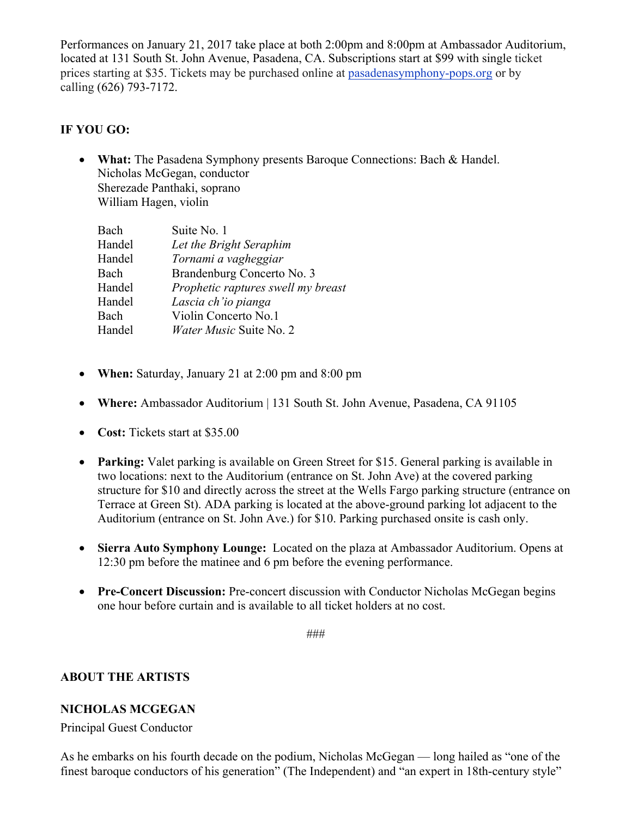Performances on January 21, 2017 take place at both 2:00pm and 8:00pm at Ambassador Auditorium, located at 131 South St. John Avenue, Pasadena, CA. Subscriptions start at \$99 with single ticket prices starting at \$35. Tickets may be purchased online at pasadenasymphony-pops.org or by calling (626) 793-7172.

### **IF YOU GO:**

• **What:** The Pasadena Symphony presents Baroque Connections: Bach & Handel. Nicholas McGegan, conductor Sherezade Panthaki, soprano William Hagen, violin

| Bach   | Suite No. 1                        |
|--------|------------------------------------|
| Handel | Let the Bright Seraphim            |
| Handel | Tornami a vagheggiar               |
| Bach   | Brandenburg Concerto No. 3         |
| Handel | Prophetic raptures swell my breast |
| Handel | Lascia ch'io pianga                |
| Bach   | Violin Concerto No.1               |
| Handel | <i>Water Music Suite No. 2</i>     |

- **When:** Saturday, January 21 at 2:00 pm and 8:00 pm
- **Where:** Ambassador Auditorium | 131 South St. John Avenue, Pasadena, CA 91105
- **Cost:** Tickets start at \$35.00
- **Parking:** Valet parking is available on Green Street for \$15. General parking is available in two locations: next to the Auditorium (entrance on St. John Ave) at the covered parking structure for \$10 and directly across the street at the Wells Fargo parking structure (entrance on Terrace at Green St). ADA parking is located at the above-ground parking lot adjacent to the Auditorium (entrance on St. John Ave.) for \$10. Parking purchased onsite is cash only.
- **Sierra Auto Symphony Lounge:** Located on the plaza at Ambassador Auditorium. Opens at 12:30 pm before the matinee and 6 pm before the evening performance.
- **Pre-Concert Discussion:** Pre-concert discussion with Conductor Nicholas McGegan begins one hour before curtain and is available to all ticket holders at no cost.

###

# **ABOUT THE ARTISTS**

#### **NICHOLAS MCGEGAN**

Principal Guest Conductor

As he embarks on his fourth decade on the podium, Nicholas McGegan — long hailed as "one of the finest baroque conductors of his generation" (The Independent) and "an expert in 18th-century style"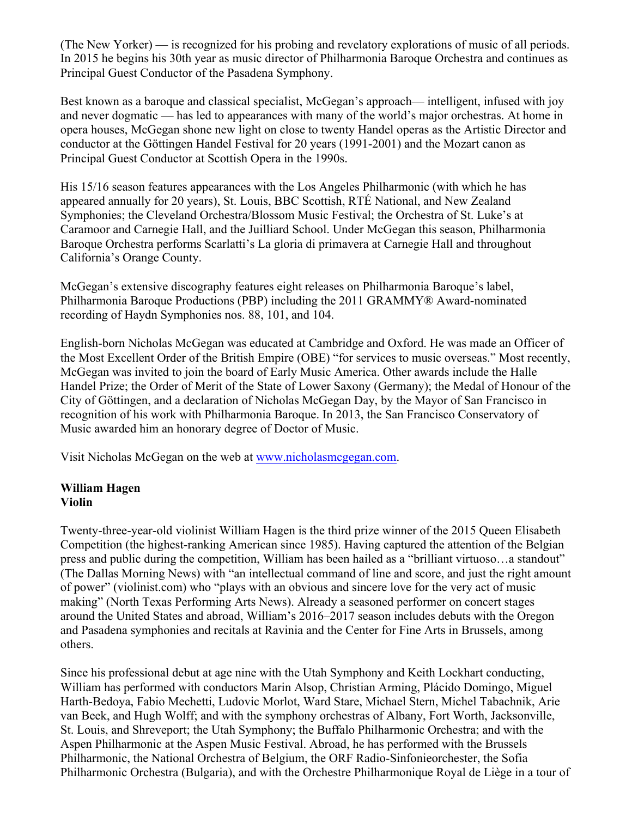(The New Yorker) — is recognized for his probing and revelatory explorations of music of all periods. In 2015 he begins his 30th year as music director of Philharmonia Baroque Orchestra and continues as Principal Guest Conductor of the Pasadena Symphony.

Best known as a baroque and classical specialist, McGegan's approach— intelligent, infused with joy and never dogmatic — has led to appearances with many of the world's major orchestras. At home in opera houses, McGegan shone new light on close to twenty Handel operas as the Artistic Director and conductor at the Göttingen Handel Festival for 20 years (1991-2001) and the Mozart canon as Principal Guest Conductor at Scottish Opera in the 1990s.

His 15/16 season features appearances with the Los Angeles Philharmonic (with which he has appeared annually for 20 years), St. Louis, BBC Scottish, RTÉ National, and New Zealand Symphonies; the Cleveland Orchestra/Blossom Music Festival; the Orchestra of St. Luke's at Caramoor and Carnegie Hall, and the Juilliard School. Under McGegan this season, Philharmonia Baroque Orchestra performs Scarlatti's La gloria di primavera at Carnegie Hall and throughout California's Orange County.

McGegan's extensive discography features eight releases on Philharmonia Baroque's label, Philharmonia Baroque Productions (PBP) including the 2011 GRAMMY® Award-nominated recording of Haydn Symphonies nos. 88, 101, and 104.

English-born Nicholas McGegan was educated at Cambridge and Oxford. He was made an Officer of the Most Excellent Order of the British Empire (OBE) "for services to music overseas." Most recently, McGegan was invited to join the board of Early Music America. Other awards include the Halle Handel Prize; the Order of Merit of the State of Lower Saxony (Germany); the Medal of Honour of the City of Göttingen, and a declaration of Nicholas McGegan Day, by the Mayor of San Francisco in recognition of his work with Philharmonia Baroque. In 2013, the San Francisco Conservatory of Music awarded him an honorary degree of Doctor of Music.

Visit Nicholas McGegan on the web at www.nicholasmcgegan.com.

#### **William Hagen Violin**

Twenty-three-year-old violinist William Hagen is the third prize winner of the 2015 Queen Elisabeth Competition (the highest-ranking American since 1985). Having captured the attention of the Belgian press and public during the competition, William has been hailed as a "brilliant virtuoso…a standout" (The Dallas Morning News) with "an intellectual command of line and score, and just the right amount of power" (violinist.com) who "plays with an obvious and sincere love for the very act of music making" (North Texas Performing Arts News). Already a seasoned performer on concert stages around the United States and abroad, William's 2016–2017 season includes debuts with the Oregon and Pasadena symphonies and recitals at Ravinia and the Center for Fine Arts in Brussels, among others.

Since his professional debut at age nine with the Utah Symphony and Keith Lockhart conducting, William has performed with conductors Marin Alsop, Christian Arming, Plácido Domingo, Miguel Harth-Bedoya, Fabio Mechetti, Ludovic Morlot, Ward Stare, Michael Stern, Michel Tabachnik, Arie van Beek, and Hugh Wolff; and with the symphony orchestras of Albany, Fort Worth, Jacksonville, St. Louis, and Shreveport; the Utah Symphony; the Buffalo Philharmonic Orchestra; and with the Aspen Philharmonic at the Aspen Music Festival. Abroad, he has performed with the Brussels Philharmonic, the National Orchestra of Belgium, the ORF Radio-Sinfonieorchester, the Sofia Philharmonic Orchestra (Bulgaria), and with the Orchestre Philharmonique Royal de Liège in a tour of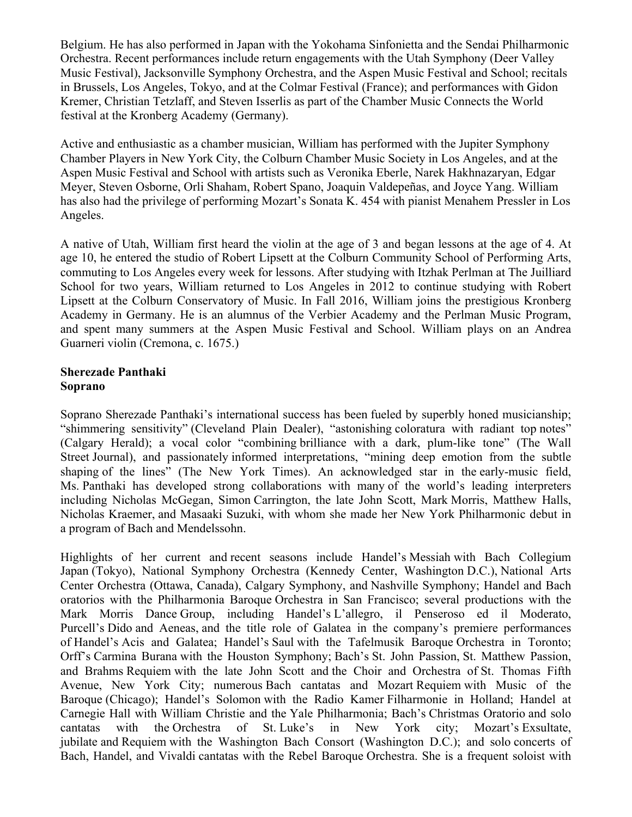Belgium. He has also performed in Japan with the Yokohama Sinfonietta and the Sendai Philharmonic Orchestra. Recent performances include return engagements with the Utah Symphony (Deer Valley Music Festival), Jacksonville Symphony Orchestra, and the Aspen Music Festival and School; recitals in Brussels, Los Angeles, Tokyo, and at the Colmar Festival (France); and performances with Gidon Kremer, Christian Tetzlaff, and Steven Isserlis as part of the Chamber Music Connects the World festival at the Kronberg Academy (Germany).

Active and enthusiastic as a chamber musician, William has performed with the Jupiter Symphony Chamber Players in New York City, the Colburn Chamber Music Society in Los Angeles, and at the Aspen Music Festival and School with artists such as Veronika Eberle, Narek Hakhnazaryan, Edgar Meyer, Steven Osborne, Orli Shaham, Robert Spano, Joaquin Valdepeñas, and Joyce Yang. William has also had the privilege of performing Mozart's Sonata K. 454 with pianist Menahem Pressler in Los Angeles.

A native of Utah, William first heard the violin at the age of 3 and began lessons at the age of 4. At age 10, he entered the studio of Robert Lipsett at the Colburn Community School of Performing Arts, commuting to Los Angeles every week for lessons. After studying with Itzhak Perlman at The Juilliard School for two years, William returned to Los Angeles in 2012 to continue studying with Robert Lipsett at the Colburn Conservatory of Music. In Fall 2016, William joins the prestigious Kronberg Academy in Germany. He is an alumnus of the Verbier Academy and the Perlman Music Program, and spent many summers at the Aspen Music Festival and School. William plays on an Andrea Guarneri violin (Cremona, c. 1675.)

#### **Sherezade Panthaki Soprano**

Soprano Sherezade Panthaki's international success has been fueled by superbly honed musicianship; "shimmering sensitivity" (Cleveland Plain Dealer), "astonishing coloratura with radiant top notes" (Calgary Herald); a vocal color "combining brilliance with a dark, plum-like tone" (The Wall Street Journal), and passionately informed interpretations, "mining deep emotion from the subtle shaping of the lines" (The New York Times). An acknowledged star in the early-music field, Ms. Panthaki has developed strong collaborations with many of the world's leading interpreters including Nicholas McGegan, Simon Carrington, the late John Scott, Mark Morris, Matthew Halls, Nicholas Kraemer, and Masaaki Suzuki, with whom she made her New York Philharmonic debut in a program of Bach and Mendelssohn.

Highlights of her current and recent seasons include Handel's Messiah with Bach Collegium Japan (Tokyo), National Symphony Orchestra (Kennedy Center, Washington D.C.), National Arts Center Orchestra (Ottawa, Canada), Calgary Symphony, and Nashville Symphony; Handel and Bach oratorios with the Philharmonia Baroque Orchestra in San Francisco; several productions with the Mark Morris Dance Group, including Handel's L'allegro, il Penseroso ed il Moderato, Purcell's Dido and Aeneas, and the title role of Galatea in the company's premiere performances of Handel's Acis and Galatea; Handel's Saul with the Tafelmusik Baroque Orchestra in Toronto; Orff's Carmina Burana with the Houston Symphony; Bach's St. John Passion, St. Matthew Passion, and Brahms Requiem with the late John Scott and the Choir and Orchestra of St. Thomas Fifth Avenue, New York City; numerous Bach cantatas and Mozart Requiem with Music of the Baroque (Chicago); Handel's Solomon with the Radio Kamer Filharmonie in Holland; Handel at Carnegie Hall with William Christie and the Yale Philharmonia; Bach's Christmas Oratorio and solo cantatas with the Orchestra of St. Luke's in New York city; Mozart's Exsultate, jubilate and Requiem with the Washington Bach Consort (Washington D.C.); and solo concerts of Bach, Handel, and Vivaldi cantatas with the Rebel Baroque Orchestra. She is a frequent soloist with